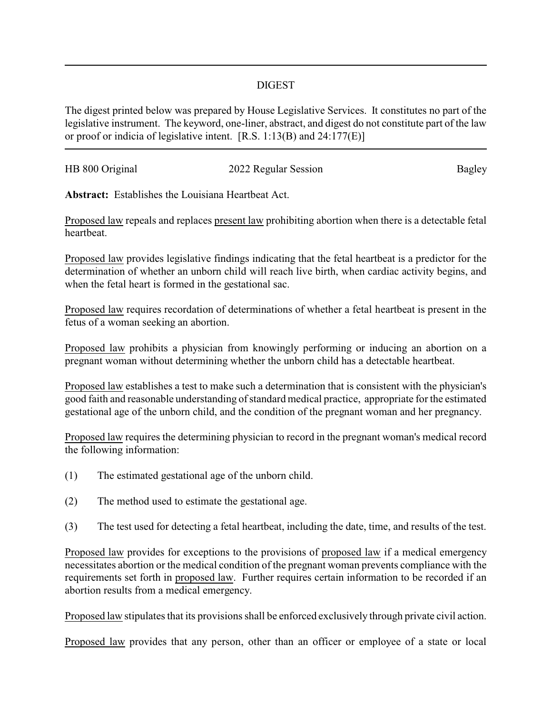## DIGEST

The digest printed below was prepared by House Legislative Services. It constitutes no part of the legislative instrument. The keyword, one-liner, abstract, and digest do not constitute part of the law or proof or indicia of legislative intent. [R.S. 1:13(B) and 24:177(E)]

| HB 800 Original | 2022 Regular Session |        |
|-----------------|----------------------|--------|
|                 |                      | Bagley |
|                 |                      |        |

**Abstract:** Establishes the Louisiana Heartbeat Act.

Proposed law repeals and replaces present law prohibiting abortion when there is a detectable fetal heartbeat.

Proposed law provides legislative findings indicating that the fetal heartbeat is a predictor for the determination of whether an unborn child will reach live birth, when cardiac activity begins, and when the fetal heart is formed in the gestational sac.

Proposed law requires recordation of determinations of whether a fetal heartbeat is present in the fetus of a woman seeking an abortion.

Proposed law prohibits a physician from knowingly performing or inducing an abortion on a pregnant woman without determining whether the unborn child has a detectable heartbeat.

Proposed law establishes a test to make such a determination that is consistent with the physician's good faith and reasonable understanding of standard medical practice, appropriate for the estimated gestational age of the unborn child, and the condition of the pregnant woman and her pregnancy.

Proposed law requires the determining physician to record in the pregnant woman's medical record the following information:

- (1) The estimated gestational age of the unborn child.
- (2) The method used to estimate the gestational age.
- (3) The test used for detecting a fetal heartbeat, including the date, time, and results of the test.

Proposed law provides for exceptions to the provisions of proposed law if a medical emergency necessitates abortion or the medical condition of the pregnant woman prevents compliance with the requirements set forth in proposed law. Further requires certain information to be recorded if an abortion results from a medical emergency.

Proposed law stipulates that its provisions shall be enforced exclusively through private civil action.

Proposed law provides that any person, other than an officer or employee of a state or local